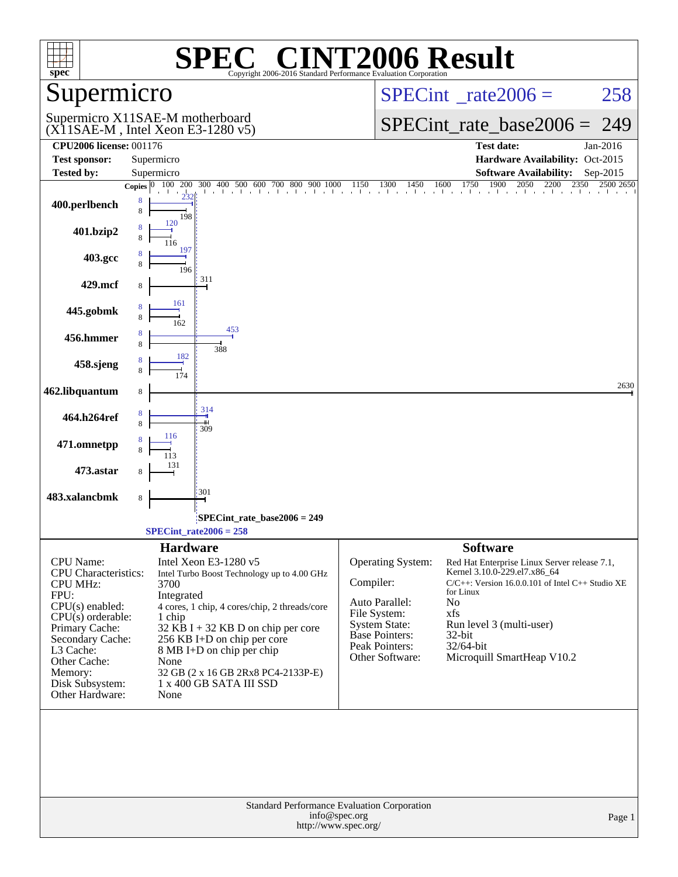| spec                                                                                                                                                  | $\bigcap$<br>Copyright 2006-2016 Standard Performance Evaluation Corporation                                                                                                                                                 | <b>INT2006 Result</b>                                                                                                                                                                                                                                                                                                                                          |
|-------------------------------------------------------------------------------------------------------------------------------------------------------|------------------------------------------------------------------------------------------------------------------------------------------------------------------------------------------------------------------------------|----------------------------------------------------------------------------------------------------------------------------------------------------------------------------------------------------------------------------------------------------------------------------------------------------------------------------------------------------------------|
| upermicro                                                                                                                                             |                                                                                                                                                                                                                              | $SPECint^{\circ}$ rate $2006 =$<br>258                                                                                                                                                                                                                                                                                                                         |
|                                                                                                                                                       | Supermicro X11SAE-M motherboard<br>$(X11SAE-M, Intel Xeon E3-1280 v5)$                                                                                                                                                       | $SPECint_rate_base2006 =$<br>249                                                                                                                                                                                                                                                                                                                               |
| <b>CPU2006 license: 001176</b>                                                                                                                        |                                                                                                                                                                                                                              | <b>Test date:</b><br>Jan-2016                                                                                                                                                                                                                                                                                                                                  |
| <b>Test sponsor:</b><br><b>Tested by:</b>                                                                                                             | Supermicro<br>Supermicro                                                                                                                                                                                                     | Hardware Availability: Oct-2015<br><b>Software Availability:</b><br>Sep-2015                                                                                                                                                                                                                                                                                   |
|                                                                                                                                                       | 200<br>300<br>Copies $ 0\rangle$                                                                                                                                                                                             | $\begin{bmatrix} 00 & 400 & 500 & 600 & 700 & 800 & 900 & 1000 & 1150 & 1300 & 1450 & 1600 & 1750 & 1900 & 2050 & 2200 & 2350 \end{bmatrix}$<br>1750<br>$23\overline{50}$<br>2500 2650                                                                                                                                                                         |
| 400.perlbench                                                                                                                                         | 8<br>8<br>198                                                                                                                                                                                                                |                                                                                                                                                                                                                                                                                                                                                                |
| 401.bzip2                                                                                                                                             | 120<br>8<br>116                                                                                                                                                                                                              |                                                                                                                                                                                                                                                                                                                                                                |
| 403.gcc                                                                                                                                               | 197<br>196                                                                                                                                                                                                                   |                                                                                                                                                                                                                                                                                                                                                                |
| 429.mcf                                                                                                                                               | 311<br>8                                                                                                                                                                                                                     |                                                                                                                                                                                                                                                                                                                                                                |
| 445.gobmk                                                                                                                                             | 161<br>8<br>162                                                                                                                                                                                                              |                                                                                                                                                                                                                                                                                                                                                                |
| 456.hmmer                                                                                                                                             | 453<br>8<br>388                                                                                                                                                                                                              |                                                                                                                                                                                                                                                                                                                                                                |
| 458.sjeng                                                                                                                                             | 182                                                                                                                                                                                                                          |                                                                                                                                                                                                                                                                                                                                                                |
| 462.libquantum                                                                                                                                        | 8                                                                                                                                                                                                                            | 2630                                                                                                                                                                                                                                                                                                                                                           |
| 464.h264ref                                                                                                                                           | 314<br>8<br>8<br>ш<br>309                                                                                                                                                                                                    |                                                                                                                                                                                                                                                                                                                                                                |
| 471.omnetpp                                                                                                                                           | 116                                                                                                                                                                                                                          |                                                                                                                                                                                                                                                                                                                                                                |
| 473.astar                                                                                                                                             | 131<br>8                                                                                                                                                                                                                     |                                                                                                                                                                                                                                                                                                                                                                |
| 483.xalancbmk                                                                                                                                         | 301<br>8                                                                                                                                                                                                                     |                                                                                                                                                                                                                                                                                                                                                                |
|                                                                                                                                                       | SPECint_rate_base2006 = 249<br>$SPECint_rate2006 = 258$                                                                                                                                                                      |                                                                                                                                                                                                                                                                                                                                                                |
|                                                                                                                                                       | <b>Hardware</b>                                                                                                                                                                                                              | <b>Software</b>                                                                                                                                                                                                                                                                                                                                                |
| CPU Name:<br><b>CPU</b> Characteristics:<br><b>CPU MHz:</b><br>FPU:<br>$CPU(s)$ enabled:<br>$CPU(s)$ orderable:<br>Primary Cache:<br>Secondary Cache: | Intel Xeon E3-1280 v5<br>Intel Turbo Boost Technology up to 4.00 GHz<br>3700<br>Integrated<br>4 cores, 1 chip, 4 cores/chip, 2 threads/core<br>1 chip<br>$32$ KB I + 32 KB D on chip per core<br>256 KB I+D on chip per core | <b>Operating System:</b><br>Red Hat Enterprise Linux Server release 7.1,<br>Kernel 3.10.0-229.el7.x86_64<br>Compiler:<br>C/C++: Version 16.0.0.101 of Intel C++ Studio XE<br>for Linux<br>Auto Parallel:<br>No<br>File System:<br>xfs<br><b>System State:</b><br>Run level 3 (multi-user)<br><b>Base Pointers:</b><br>$32$ -bit<br>Peak Pointers:<br>32/64-bit |
| L3 Cache:<br>Other Cache:<br>Memory:<br>Disk Subsystem:<br>Other Hardware:                                                                            | 8 MB I+D on chip per chip<br>None<br>32 GB (2 x 16 GB 2Rx8 PC4-2133P-E)<br>1 x 400 GB SATA III SSD<br>None                                                                                                                   | Other Software:<br>Microquill SmartHeap V10.2                                                                                                                                                                                                                                                                                                                  |
|                                                                                                                                                       | Standard Performance Evaluation Corporation<br>info@spec.org<br>http://www.spec.org/                                                                                                                                         | Page 1                                                                                                                                                                                                                                                                                                                                                         |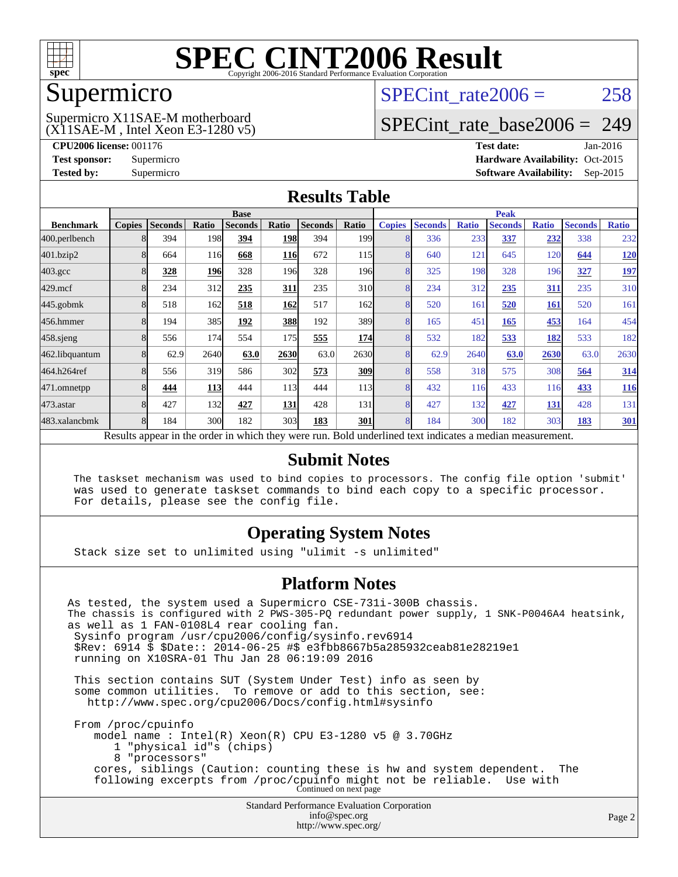

### Supermicro

#### (X11SAE-M , Intel Xeon E3-1280 v5) Supermicro X11SAE-M motherboard

SPECint rate $2006 = 258$ 

### [SPECint\\_rate\\_base2006 =](http://www.spec.org/auto/cpu2006/Docs/result-fields.html#SPECintratebase2006) 249

**[CPU2006 license:](http://www.spec.org/auto/cpu2006/Docs/result-fields.html#CPU2006license)** 001176 **[Test date:](http://www.spec.org/auto/cpu2006/Docs/result-fields.html#Testdate)** Jan-2016 **[Test sponsor:](http://www.spec.org/auto/cpu2006/Docs/result-fields.html#Testsponsor)** Supermicro Supermicro **[Hardware Availability:](http://www.spec.org/auto/cpu2006/Docs/result-fields.html#HardwareAvailability)** Oct-2015 **[Tested by:](http://www.spec.org/auto/cpu2006/Docs/result-fields.html#Testedby)** Supermicro **Supermicro [Software Availability:](http://www.spec.org/auto/cpu2006/Docs/result-fields.html#SoftwareAvailability)** Sep-2015

### **[Results Table](http://www.spec.org/auto/cpu2006/Docs/result-fields.html#ResultsTable)**

|                  |               |                |            | <b>Base</b>    |            |                |                  |                |                |              | <b>Peak</b>                                                                                              |              |                |              |
|------------------|---------------|----------------|------------|----------------|------------|----------------|------------------|----------------|----------------|--------------|----------------------------------------------------------------------------------------------------------|--------------|----------------|--------------|
| <b>Benchmark</b> | <b>Copies</b> | <b>Seconds</b> | Ratio      | <b>Seconds</b> | Ratio      | <b>Seconds</b> | Ratio            | <b>Copies</b>  | <b>Seconds</b> | <b>Ratio</b> | <b>Seconds</b>                                                                                           | <b>Ratio</b> | <b>Seconds</b> | <b>Ratio</b> |
| 400.perlbench    |               | 394            | 198        | 394            | 198        | 394            | 199 <sub>1</sub> |                | 336            | 233          | 337                                                                                                      | 232          | 338            | 232          |
| 401.bzip2        |               | 664            | 116        | 668            | <b>116</b> | 672            | 115              |                | 640            | 121          | 645                                                                                                      | 120          | 644            | <u>120</u>   |
| $403.\text{gcc}$ |               | 328            | 196        | 328            | 196        | 328            | 196 <sub>l</sub> | 8              | 325            | 198          | 328                                                                                                      | 196          | 327            | <u>197</u>   |
| $429$ .mcf       |               | 234            | 312        | 235            | 311        | 235            | 310l             | 8              | 234            | 312          | 235                                                                                                      | 311          | 235            | 310          |
| $445$ .gobmk     |               | 518            | 162        | 518            | 162        | 517            | 162              | $\Omega$       | 520            | 161          | 520                                                                                                      | <u>161</u>   | 520            | 161          |
| 456.hmmer        |               | 194            | 385        | 192            | 388        | 192            | 389              | 8              | 165            | 451          | 165                                                                                                      | 453          | 164            | 454          |
| $458$ .sjeng     |               | 556            | 174        | 554            | 175        | 555            | 174              | 8              | 532            | 182          | 533                                                                                                      | 182          | 533            | 182          |
| 462.libquantum   |               | 62.9           | 2640       | 63.0           | 2630       | 63.0           | 2630             |                | 62.9           | 2640         | 63.0                                                                                                     | 2630         | 63.0           | 2630         |
| 464.h264ref      |               | 556            | 319        | 586            | 302        | 573            | 309              | 8              | 558            | 318          | 575                                                                                                      | 308          | 564            | 314          |
| 471.omnetpp      |               | 444            | <b>113</b> | 444            | 113        | 444            | 113              |                | 432            | 116          | 433                                                                                                      | <b>116</b>   | 433            | <u>116</u>   |
| $473$ . astar    |               | 427            | 132        | 427            | 131        | 428            | 131              | $\overline{8}$ | 427            | 132          | 427                                                                                                      | 131          | 428            | 131          |
| 483.xalancbmk    |               | 184            | 300        | 182            | 303        | 183            | 301              | 8              | 184            | 300          | 182                                                                                                      | 303          | 183            | <b>301</b>   |
|                  |               |                |            |                |            |                |                  |                |                |              | Results appear in the order in which they were run. Bold underlined text indicates a median measurement. |              |                |              |

### **[Submit Notes](http://www.spec.org/auto/cpu2006/Docs/result-fields.html#SubmitNotes)**

 The taskset mechanism was used to bind copies to processors. The config file option 'submit' was used to generate taskset commands to bind each copy to a specific processor. For details, please see the config file.

### **[Operating System Notes](http://www.spec.org/auto/cpu2006/Docs/result-fields.html#OperatingSystemNotes)**

Stack size set to unlimited using "ulimit -s unlimited"

### **[Platform Notes](http://www.spec.org/auto/cpu2006/Docs/result-fields.html#PlatformNotes)**

Standard Performance Evaluation Corporation [info@spec.org](mailto:info@spec.org) As tested, the system used a Supermicro CSE-731i-300B chassis. The chassis is configured with 2 PWS-305-PQ redundant power supply, 1 SNK-P0046A4 heatsink, as well as 1 FAN-0108L4 rear cooling fan. Sysinfo program /usr/cpu2006/config/sysinfo.rev6914 \$Rev: 6914 \$ \$Date:: 2014-06-25 #\$ e3fbb8667b5a285932ceab81e28219e1 running on X10SRA-01 Thu Jan 28 06:19:09 2016 This section contains SUT (System Under Test) info as seen by some common utilities. To remove or add to this section, see: <http://www.spec.org/cpu2006/Docs/config.html#sysinfo> From /proc/cpuinfo model name : Intel(R) Xeon(R) CPU E3-1280 v5 @ 3.70GHz 1 "physical id"s (chips) 8 "processors" cores, siblings (Caution: counting these is hw and system dependent. The following excerpts from /proc/cpuinfo might not be reliable. Use with Continued on next page

<http://www.spec.org/>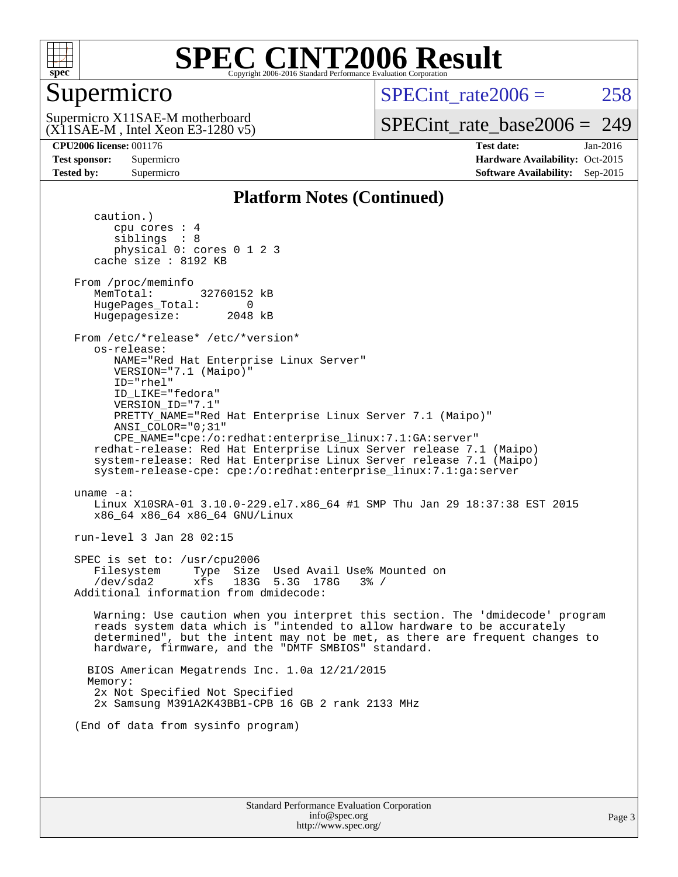

## Supermicro

SPECint rate $2006 = 258$ 

(X11SAE-M , Intel Xeon E3-1280 v5) Supermicro X11SAE-M motherboard

[SPECint\\_rate\\_base2006 =](http://www.spec.org/auto/cpu2006/Docs/result-fields.html#SPECintratebase2006) 249

**[CPU2006 license:](http://www.spec.org/auto/cpu2006/Docs/result-fields.html#CPU2006license)** 001176 **[Test date:](http://www.spec.org/auto/cpu2006/Docs/result-fields.html#Testdate)** Jan-2016 **[Test sponsor:](http://www.spec.org/auto/cpu2006/Docs/result-fields.html#Testsponsor)** Supermicro Supermicro **[Hardware Availability:](http://www.spec.org/auto/cpu2006/Docs/result-fields.html#HardwareAvailability)** Oct-2015 **[Tested by:](http://www.spec.org/auto/cpu2006/Docs/result-fields.html#Testedby)** Supermicro **Supermicro [Software Availability:](http://www.spec.org/auto/cpu2006/Docs/result-fields.html#SoftwareAvailability)** Sep-2015

### **[Platform Notes \(Continued\)](http://www.spec.org/auto/cpu2006/Docs/result-fields.html#PlatformNotes)**

 caution.) cpu cores : 4 siblings : 8 physical 0: cores 0 1 2 3 cache size : 8192 KB From /proc/meminfo MemTotal: 32760152 kB HugePages\_Total: 0<br>Hugepagesize: 2048 kB Hugepagesize: From /etc/\*release\* /etc/\*version\* os-release: NAME="Red Hat Enterprise Linux Server" VERSION="7.1 (Maipo)" ID="rhel" ID\_LIKE="fedora" VERSION\_ID="7.1" PRETTY\_NAME="Red Hat Enterprise Linux Server 7.1 (Maipo)" ANSI\_COLOR="0;31" CPE\_NAME="cpe:/o:redhat:enterprise\_linux:7.1:GA:server" redhat-release: Red Hat Enterprise Linux Server release 7.1 (Maipo) system-release: Red Hat Enterprise Linux Server release 7.1 (Maipo) system-release-cpe: cpe:/o:redhat:enterprise\_linux:7.1:ga:server uname -a: Linux X10SRA-01 3.10.0-229.el7.x86\_64 #1 SMP Thu Jan 29 18:37:38 EST 2015 x86\_64 x86\_64 x86\_64 GNU/Linux run-level 3 Jan 28 02:15 SPEC is set to: /usr/cpu2006 Filesystem Type Size Used Avail Use% Mounted on /dev/sda2 xfs 183G 5.3G 178G 3% / Additional information from dmidecode: Warning: Use caution when you interpret this section. The 'dmidecode' program reads system data which is "intended to allow hardware to be accurately determined", but the intent may not be met, as there are frequent changes to hardware, firmware, and the "DMTF SMBIOS" standard. BIOS American Megatrends Inc. 1.0a 12/21/2015 Memory: 2x Not Specified Not Specified 2x Samsung M391A2K43BB1-CPB 16 GB 2 rank 2133 MHz (End of data from sysinfo program)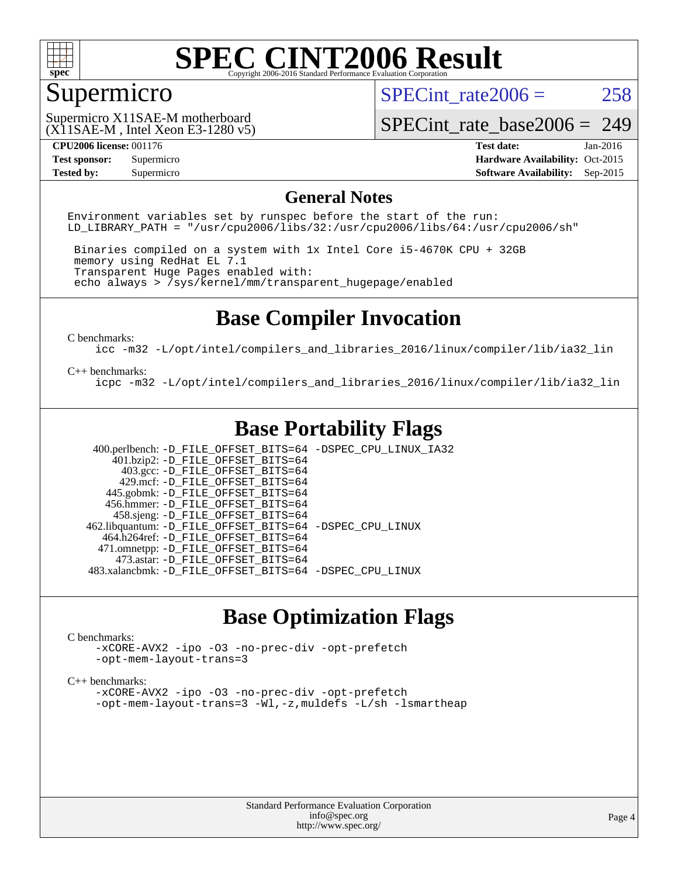

## Supermicro

SPECint rate $2006 = 258$ 

(X11SAE-M , Intel Xeon E3-1280 v5) Supermicro X11SAE-M motherboard

[SPECint\\_rate\\_base2006 =](http://www.spec.org/auto/cpu2006/Docs/result-fields.html#SPECintratebase2006) 249

**[Tested by:](http://www.spec.org/auto/cpu2006/Docs/result-fields.html#Testedby)** Supermicro **Supermicro [Software Availability:](http://www.spec.org/auto/cpu2006/Docs/result-fields.html#SoftwareAvailability)** Sep-2015

**[CPU2006 license:](http://www.spec.org/auto/cpu2006/Docs/result-fields.html#CPU2006license)** 001176 **[Test date:](http://www.spec.org/auto/cpu2006/Docs/result-fields.html#Testdate)** Jan-2016 **[Test sponsor:](http://www.spec.org/auto/cpu2006/Docs/result-fields.html#Testsponsor)** Supermicro Supermicro **[Hardware Availability:](http://www.spec.org/auto/cpu2006/Docs/result-fields.html#HardwareAvailability)** Oct-2015

### **[General Notes](http://www.spec.org/auto/cpu2006/Docs/result-fields.html#GeneralNotes)**

Environment variables set by runspec before the start of the run: LD LIBRARY PATH = "/usr/cpu2006/libs/32:/usr/cpu2006/libs/64:/usr/cpu2006/sh"

 Binaries compiled on a system with 1x Intel Core i5-4670K CPU + 32GB memory using RedHat EL 7.1 Transparent Huge Pages enabled with: echo always > /sys/kernel/mm/transparent\_hugepage/enabled

### **[Base Compiler Invocation](http://www.spec.org/auto/cpu2006/Docs/result-fields.html#BaseCompilerInvocation)**

[C benchmarks](http://www.spec.org/auto/cpu2006/Docs/result-fields.html#Cbenchmarks):

[icc -m32 -L/opt/intel/compilers\\_and\\_libraries\\_2016/linux/compiler/lib/ia32\\_lin](http://www.spec.org/cpu2006/results/res2016q1/cpu2006-20160206-38996.flags.html#user_CCbase_intel_icc_e10256ba5924b668798078a321b0cb3f)

#### [C++ benchmarks:](http://www.spec.org/auto/cpu2006/Docs/result-fields.html#CXXbenchmarks)

[icpc -m32 -L/opt/intel/compilers\\_and\\_libraries\\_2016/linux/compiler/lib/ia32\\_lin](http://www.spec.org/cpu2006/results/res2016q1/cpu2006-20160206-38996.flags.html#user_CXXbase_intel_icpc_b4f50a394bdb4597aa5879c16bc3f5c5)

### **[Base Portability Flags](http://www.spec.org/auto/cpu2006/Docs/result-fields.html#BasePortabilityFlags)**

 400.perlbench: [-D\\_FILE\\_OFFSET\\_BITS=64](http://www.spec.org/cpu2006/results/res2016q1/cpu2006-20160206-38996.flags.html#user_basePORTABILITY400_perlbench_file_offset_bits_64_438cf9856305ebd76870a2c6dc2689ab) [-DSPEC\\_CPU\\_LINUX\\_IA32](http://www.spec.org/cpu2006/results/res2016q1/cpu2006-20160206-38996.flags.html#b400.perlbench_baseCPORTABILITY_DSPEC_CPU_LINUX_IA32)  $401.bzip2: -D$ FILE\_OFFSET\_BITS=64 403.gcc: [-D\\_FILE\\_OFFSET\\_BITS=64](http://www.spec.org/cpu2006/results/res2016q1/cpu2006-20160206-38996.flags.html#user_basePORTABILITY403_gcc_file_offset_bits_64_438cf9856305ebd76870a2c6dc2689ab) 429.mcf: [-D\\_FILE\\_OFFSET\\_BITS=64](http://www.spec.org/cpu2006/results/res2016q1/cpu2006-20160206-38996.flags.html#user_basePORTABILITY429_mcf_file_offset_bits_64_438cf9856305ebd76870a2c6dc2689ab) 445.gobmk: [-D\\_FILE\\_OFFSET\\_BITS=64](http://www.spec.org/cpu2006/results/res2016q1/cpu2006-20160206-38996.flags.html#user_basePORTABILITY445_gobmk_file_offset_bits_64_438cf9856305ebd76870a2c6dc2689ab) 456.hmmer: [-D\\_FILE\\_OFFSET\\_BITS=64](http://www.spec.org/cpu2006/results/res2016q1/cpu2006-20160206-38996.flags.html#user_basePORTABILITY456_hmmer_file_offset_bits_64_438cf9856305ebd76870a2c6dc2689ab) 458.sjeng: [-D\\_FILE\\_OFFSET\\_BITS=64](http://www.spec.org/cpu2006/results/res2016q1/cpu2006-20160206-38996.flags.html#user_basePORTABILITY458_sjeng_file_offset_bits_64_438cf9856305ebd76870a2c6dc2689ab) 462.libquantum: [-D\\_FILE\\_OFFSET\\_BITS=64](http://www.spec.org/cpu2006/results/res2016q1/cpu2006-20160206-38996.flags.html#user_basePORTABILITY462_libquantum_file_offset_bits_64_438cf9856305ebd76870a2c6dc2689ab) [-DSPEC\\_CPU\\_LINUX](http://www.spec.org/cpu2006/results/res2016q1/cpu2006-20160206-38996.flags.html#b462.libquantum_baseCPORTABILITY_DSPEC_CPU_LINUX) 464.h264ref: [-D\\_FILE\\_OFFSET\\_BITS=64](http://www.spec.org/cpu2006/results/res2016q1/cpu2006-20160206-38996.flags.html#user_basePORTABILITY464_h264ref_file_offset_bits_64_438cf9856305ebd76870a2c6dc2689ab) 471.omnetpp: [-D\\_FILE\\_OFFSET\\_BITS=64](http://www.spec.org/cpu2006/results/res2016q1/cpu2006-20160206-38996.flags.html#user_basePORTABILITY471_omnetpp_file_offset_bits_64_438cf9856305ebd76870a2c6dc2689ab) 473.astar: [-D\\_FILE\\_OFFSET\\_BITS=64](http://www.spec.org/cpu2006/results/res2016q1/cpu2006-20160206-38996.flags.html#user_basePORTABILITY473_astar_file_offset_bits_64_438cf9856305ebd76870a2c6dc2689ab) 483.xalancbmk: [-D\\_FILE\\_OFFSET\\_BITS=64](http://www.spec.org/cpu2006/results/res2016q1/cpu2006-20160206-38996.flags.html#user_basePORTABILITY483_xalancbmk_file_offset_bits_64_438cf9856305ebd76870a2c6dc2689ab) [-DSPEC\\_CPU\\_LINUX](http://www.spec.org/cpu2006/results/res2016q1/cpu2006-20160206-38996.flags.html#b483.xalancbmk_baseCXXPORTABILITY_DSPEC_CPU_LINUX)

### **[Base Optimization Flags](http://www.spec.org/auto/cpu2006/Docs/result-fields.html#BaseOptimizationFlags)**

#### [C benchmarks](http://www.spec.org/auto/cpu2006/Docs/result-fields.html#Cbenchmarks):

[-xCORE-AVX2](http://www.spec.org/cpu2006/results/res2016q1/cpu2006-20160206-38996.flags.html#user_CCbase_f-xAVX2_5f5fc0cbe2c9f62c816d3e45806c70d7) [-ipo](http://www.spec.org/cpu2006/results/res2016q1/cpu2006-20160206-38996.flags.html#user_CCbase_f-ipo) [-O3](http://www.spec.org/cpu2006/results/res2016q1/cpu2006-20160206-38996.flags.html#user_CCbase_f-O3) [-no-prec-div](http://www.spec.org/cpu2006/results/res2016q1/cpu2006-20160206-38996.flags.html#user_CCbase_f-no-prec-div) [-opt-prefetch](http://www.spec.org/cpu2006/results/res2016q1/cpu2006-20160206-38996.flags.html#user_CCbase_f-opt-prefetch) [-opt-mem-layout-trans=3](http://www.spec.org/cpu2006/results/res2016q1/cpu2006-20160206-38996.flags.html#user_CCbase_f-opt-mem-layout-trans_a7b82ad4bd7abf52556d4961a2ae94d5)

#### [C++ benchmarks:](http://www.spec.org/auto/cpu2006/Docs/result-fields.html#CXXbenchmarks)

[-xCORE-AVX2](http://www.spec.org/cpu2006/results/res2016q1/cpu2006-20160206-38996.flags.html#user_CXXbase_f-xAVX2_5f5fc0cbe2c9f62c816d3e45806c70d7) [-ipo](http://www.spec.org/cpu2006/results/res2016q1/cpu2006-20160206-38996.flags.html#user_CXXbase_f-ipo) [-O3](http://www.spec.org/cpu2006/results/res2016q1/cpu2006-20160206-38996.flags.html#user_CXXbase_f-O3) [-no-prec-div](http://www.spec.org/cpu2006/results/res2016q1/cpu2006-20160206-38996.flags.html#user_CXXbase_f-no-prec-div) [-opt-prefetch](http://www.spec.org/cpu2006/results/res2016q1/cpu2006-20160206-38996.flags.html#user_CXXbase_f-opt-prefetch) [-opt-mem-layout-trans=3](http://www.spec.org/cpu2006/results/res2016q1/cpu2006-20160206-38996.flags.html#user_CXXbase_f-opt-mem-layout-trans_a7b82ad4bd7abf52556d4961a2ae94d5) [-Wl,-z,muldefs](http://www.spec.org/cpu2006/results/res2016q1/cpu2006-20160206-38996.flags.html#user_CXXbase_link_force_multiple1_74079c344b956b9658436fd1b6dd3a8a) [-L/sh -lsmartheap](http://www.spec.org/cpu2006/results/res2016q1/cpu2006-20160206-38996.flags.html#user_CXXbase_SmartHeap_32f6c82aa1ed9c52345d30cf6e4a0499)

> Standard Performance Evaluation Corporation [info@spec.org](mailto:info@spec.org) <http://www.spec.org/>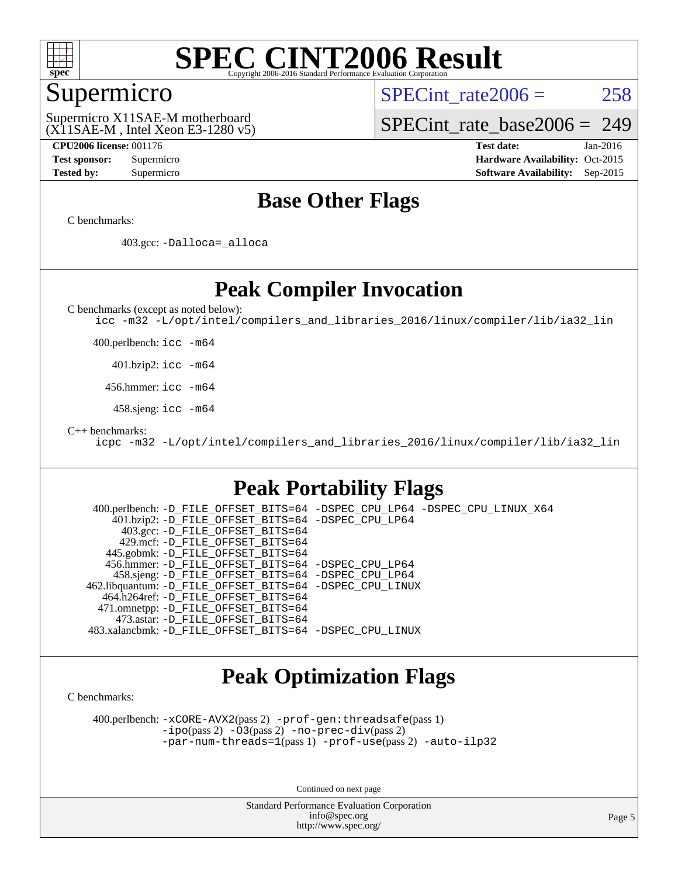

### Supermicro

SPECint rate $2006 = 258$ 

(X11SAE-M , Intel Xeon E3-1280 v5) Supermicro X11SAE-M motherboard

[SPECint\\_rate\\_base2006 =](http://www.spec.org/auto/cpu2006/Docs/result-fields.html#SPECintratebase2006) 249

**[CPU2006 license:](http://www.spec.org/auto/cpu2006/Docs/result-fields.html#CPU2006license)** 001176 **[Test date:](http://www.spec.org/auto/cpu2006/Docs/result-fields.html#Testdate)** Jan-2016 **[Test sponsor:](http://www.spec.org/auto/cpu2006/Docs/result-fields.html#Testsponsor)** Supermicro Supermicro **[Hardware Availability:](http://www.spec.org/auto/cpu2006/Docs/result-fields.html#HardwareAvailability)** Oct-2015 **[Tested by:](http://www.spec.org/auto/cpu2006/Docs/result-fields.html#Testedby)** Supermicro **Supermicro [Software Availability:](http://www.spec.org/auto/cpu2006/Docs/result-fields.html#SoftwareAvailability)** Sep-2015

### **[Base Other Flags](http://www.spec.org/auto/cpu2006/Docs/result-fields.html#BaseOtherFlags)**

[C benchmarks](http://www.spec.org/auto/cpu2006/Docs/result-fields.html#Cbenchmarks):

403.gcc: [-Dalloca=\\_alloca](http://www.spec.org/cpu2006/results/res2016q1/cpu2006-20160206-38996.flags.html#b403.gcc_baseEXTRA_CFLAGS_Dalloca_be3056838c12de2578596ca5467af7f3)

### **[Peak Compiler Invocation](http://www.spec.org/auto/cpu2006/Docs/result-fields.html#PeakCompilerInvocation)**

[C benchmarks \(except as noted below\)](http://www.spec.org/auto/cpu2006/Docs/result-fields.html#Cbenchmarksexceptasnotedbelow):

[icc -m32 -L/opt/intel/compilers\\_and\\_libraries\\_2016/linux/compiler/lib/ia32\\_lin](http://www.spec.org/cpu2006/results/res2016q1/cpu2006-20160206-38996.flags.html#user_CCpeak_intel_icc_e10256ba5924b668798078a321b0cb3f)

400.perlbench: [icc -m64](http://www.spec.org/cpu2006/results/res2016q1/cpu2006-20160206-38996.flags.html#user_peakCCLD400_perlbench_intel_icc_64bit_bda6cc9af1fdbb0edc3795bac97ada53)

401.bzip2: [icc -m64](http://www.spec.org/cpu2006/results/res2016q1/cpu2006-20160206-38996.flags.html#user_peakCCLD401_bzip2_intel_icc_64bit_bda6cc9af1fdbb0edc3795bac97ada53)

456.hmmer: [icc -m64](http://www.spec.org/cpu2006/results/res2016q1/cpu2006-20160206-38996.flags.html#user_peakCCLD456_hmmer_intel_icc_64bit_bda6cc9af1fdbb0edc3795bac97ada53)

458.sjeng: [icc -m64](http://www.spec.org/cpu2006/results/res2016q1/cpu2006-20160206-38996.flags.html#user_peakCCLD458_sjeng_intel_icc_64bit_bda6cc9af1fdbb0edc3795bac97ada53)

[C++ benchmarks:](http://www.spec.org/auto/cpu2006/Docs/result-fields.html#CXXbenchmarks)

[icpc -m32 -L/opt/intel/compilers\\_and\\_libraries\\_2016/linux/compiler/lib/ia32\\_lin](http://www.spec.org/cpu2006/results/res2016q1/cpu2006-20160206-38996.flags.html#user_CXXpeak_intel_icpc_b4f50a394bdb4597aa5879c16bc3f5c5)

### **[Peak Portability Flags](http://www.spec.org/auto/cpu2006/Docs/result-fields.html#PeakPortabilityFlags)**

 400.perlbench: [-D\\_FILE\\_OFFSET\\_BITS=64](http://www.spec.org/cpu2006/results/res2016q1/cpu2006-20160206-38996.flags.html#user_peakPORTABILITY400_perlbench_file_offset_bits_64_438cf9856305ebd76870a2c6dc2689ab) [-DSPEC\\_CPU\\_LP64](http://www.spec.org/cpu2006/results/res2016q1/cpu2006-20160206-38996.flags.html#b400.perlbench_peakCPORTABILITY_DSPEC_CPU_LP64) [-DSPEC\\_CPU\\_LINUX\\_X64](http://www.spec.org/cpu2006/results/res2016q1/cpu2006-20160206-38996.flags.html#b400.perlbench_peakCPORTABILITY_DSPEC_CPU_LINUX_X64) 401.bzip2: [-D\\_FILE\\_OFFSET\\_BITS=64](http://www.spec.org/cpu2006/results/res2016q1/cpu2006-20160206-38996.flags.html#user_peakPORTABILITY401_bzip2_file_offset_bits_64_438cf9856305ebd76870a2c6dc2689ab) [-DSPEC\\_CPU\\_LP64](http://www.spec.org/cpu2006/results/res2016q1/cpu2006-20160206-38996.flags.html#suite_peakCPORTABILITY401_bzip2_DSPEC_CPU_LP64) 403.gcc: [-D\\_FILE\\_OFFSET\\_BITS=64](http://www.spec.org/cpu2006/results/res2016q1/cpu2006-20160206-38996.flags.html#user_peakPORTABILITY403_gcc_file_offset_bits_64_438cf9856305ebd76870a2c6dc2689ab) 429.mcf: [-D\\_FILE\\_OFFSET\\_BITS=64](http://www.spec.org/cpu2006/results/res2016q1/cpu2006-20160206-38996.flags.html#user_peakPORTABILITY429_mcf_file_offset_bits_64_438cf9856305ebd76870a2c6dc2689ab) 445.gobmk: [-D\\_FILE\\_OFFSET\\_BITS=64](http://www.spec.org/cpu2006/results/res2016q1/cpu2006-20160206-38996.flags.html#user_peakPORTABILITY445_gobmk_file_offset_bits_64_438cf9856305ebd76870a2c6dc2689ab) 456.hmmer: [-D\\_FILE\\_OFFSET\\_BITS=64](http://www.spec.org/cpu2006/results/res2016q1/cpu2006-20160206-38996.flags.html#user_peakPORTABILITY456_hmmer_file_offset_bits_64_438cf9856305ebd76870a2c6dc2689ab) [-DSPEC\\_CPU\\_LP64](http://www.spec.org/cpu2006/results/res2016q1/cpu2006-20160206-38996.flags.html#suite_peakCPORTABILITY456_hmmer_DSPEC_CPU_LP64) 458.sjeng: [-D\\_FILE\\_OFFSET\\_BITS=64](http://www.spec.org/cpu2006/results/res2016q1/cpu2006-20160206-38996.flags.html#user_peakPORTABILITY458_sjeng_file_offset_bits_64_438cf9856305ebd76870a2c6dc2689ab) [-DSPEC\\_CPU\\_LP64](http://www.spec.org/cpu2006/results/res2016q1/cpu2006-20160206-38996.flags.html#suite_peakCPORTABILITY458_sjeng_DSPEC_CPU_LP64) 462.libquantum: [-D\\_FILE\\_OFFSET\\_BITS=64](http://www.spec.org/cpu2006/results/res2016q1/cpu2006-20160206-38996.flags.html#user_peakPORTABILITY462_libquantum_file_offset_bits_64_438cf9856305ebd76870a2c6dc2689ab) [-DSPEC\\_CPU\\_LINUX](http://www.spec.org/cpu2006/results/res2016q1/cpu2006-20160206-38996.flags.html#b462.libquantum_peakCPORTABILITY_DSPEC_CPU_LINUX) 464.h264ref: [-D\\_FILE\\_OFFSET\\_BITS=64](http://www.spec.org/cpu2006/results/res2016q1/cpu2006-20160206-38996.flags.html#user_peakPORTABILITY464_h264ref_file_offset_bits_64_438cf9856305ebd76870a2c6dc2689ab) 471.omnetpp: [-D\\_FILE\\_OFFSET\\_BITS=64](http://www.spec.org/cpu2006/results/res2016q1/cpu2006-20160206-38996.flags.html#user_peakPORTABILITY471_omnetpp_file_offset_bits_64_438cf9856305ebd76870a2c6dc2689ab) 473.astar: [-D\\_FILE\\_OFFSET\\_BITS=64](http://www.spec.org/cpu2006/results/res2016q1/cpu2006-20160206-38996.flags.html#user_peakPORTABILITY473_astar_file_offset_bits_64_438cf9856305ebd76870a2c6dc2689ab) 483.xalancbmk: [-D\\_FILE\\_OFFSET\\_BITS=64](http://www.spec.org/cpu2006/results/res2016q1/cpu2006-20160206-38996.flags.html#user_peakPORTABILITY483_xalancbmk_file_offset_bits_64_438cf9856305ebd76870a2c6dc2689ab) [-DSPEC\\_CPU\\_LINUX](http://www.spec.org/cpu2006/results/res2016q1/cpu2006-20160206-38996.flags.html#b483.xalancbmk_peakCXXPORTABILITY_DSPEC_CPU_LINUX)

### **[Peak Optimization Flags](http://www.spec.org/auto/cpu2006/Docs/result-fields.html#PeakOptimizationFlags)**

[C benchmarks](http://www.spec.org/auto/cpu2006/Docs/result-fields.html#Cbenchmarks):

 400.perlbench: [-xCORE-AVX2](http://www.spec.org/cpu2006/results/res2016q1/cpu2006-20160206-38996.flags.html#user_peakPASS2_CFLAGSPASS2_LDCFLAGS400_perlbench_f-xAVX2_5f5fc0cbe2c9f62c816d3e45806c70d7)(pass 2) [-prof-gen:threadsafe](http://www.spec.org/cpu2006/results/res2016q1/cpu2006-20160206-38996.flags.html#user_peakPASS1_CFLAGSPASS1_LDCFLAGS400_perlbench_prof_gen_21a26eb79f378b550acd7bec9fe4467a)(pass 1) [-ipo](http://www.spec.org/cpu2006/results/res2016q1/cpu2006-20160206-38996.flags.html#user_peakPASS2_CFLAGSPASS2_LDCFLAGS400_perlbench_f-ipo)(pass 2) [-O3](http://www.spec.org/cpu2006/results/res2016q1/cpu2006-20160206-38996.flags.html#user_peakPASS2_CFLAGSPASS2_LDCFLAGS400_perlbench_f-O3)(pass 2) [-no-prec-div](http://www.spec.org/cpu2006/results/res2016q1/cpu2006-20160206-38996.flags.html#user_peakPASS2_CFLAGSPASS2_LDCFLAGS400_perlbench_f-no-prec-div)(pass 2) [-par-num-threads=1](http://www.spec.org/cpu2006/results/res2016q1/cpu2006-20160206-38996.flags.html#user_peakPASS1_CFLAGSPASS1_LDCFLAGS400_perlbench_par_num_threads_786a6ff141b4e9e90432e998842df6c2)(pass 1) [-prof-use](http://www.spec.org/cpu2006/results/res2016q1/cpu2006-20160206-38996.flags.html#user_peakPASS2_CFLAGSPASS2_LDCFLAGS400_perlbench_prof_use_bccf7792157ff70d64e32fe3e1250b55)(pass 2) [-auto-ilp32](http://www.spec.org/cpu2006/results/res2016q1/cpu2006-20160206-38996.flags.html#user_peakCOPTIMIZE400_perlbench_f-auto-ilp32)

Continued on next page

Standard Performance Evaluation Corporation [info@spec.org](mailto:info@spec.org) <http://www.spec.org/>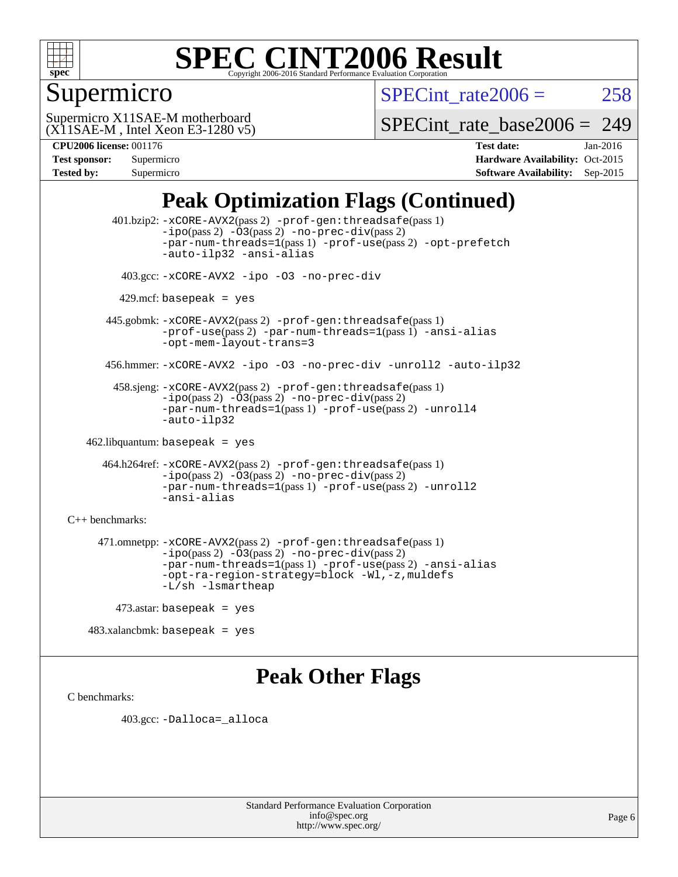

## Supermicro

SPECint rate $2006 = 258$ 

(X11SAE-M , Intel Xeon E3-1280 v5) Supermicro X11SAE-M motherboard

[SPECint\\_rate\\_base2006 =](http://www.spec.org/auto/cpu2006/Docs/result-fields.html#SPECintratebase2006) 249

| <b>Test sponsor:</b> | Supermicro |
|----------------------|------------|
| <b>Tested by:</b>    | Supermicro |

**[CPU2006 license:](http://www.spec.org/auto/cpu2006/Docs/result-fields.html#CPU2006license)** 001176 **[Test date:](http://www.spec.org/auto/cpu2006/Docs/result-fields.html#Testdate)** Jan-2016 **[Hardware Availability:](http://www.spec.org/auto/cpu2006/Docs/result-fields.html#HardwareAvailability)** Oct-2015 **[Software Availability:](http://www.spec.org/auto/cpu2006/Docs/result-fields.html#SoftwareAvailability)** Sep-2015

## **[Peak Optimization Flags \(Continued\)](http://www.spec.org/auto/cpu2006/Docs/result-fields.html#PeakOptimizationFlags)**

 401.bzip2: [-xCORE-AVX2](http://www.spec.org/cpu2006/results/res2016q1/cpu2006-20160206-38996.flags.html#user_peakPASS2_CFLAGSPASS2_LDCFLAGS401_bzip2_f-xAVX2_5f5fc0cbe2c9f62c816d3e45806c70d7)(pass 2) [-prof-gen:threadsafe](http://www.spec.org/cpu2006/results/res2016q1/cpu2006-20160206-38996.flags.html#user_peakPASS1_CFLAGSPASS1_LDCFLAGS401_bzip2_prof_gen_21a26eb79f378b550acd7bec9fe4467a)(pass 1)  $-i\text{po}(pass 2) -\text{O3}(pass 2)$  [-no-prec-div](http://www.spec.org/cpu2006/results/res2016q1/cpu2006-20160206-38996.flags.html#user_peakPASS2_CFLAGSPASS2_LDCFLAGS401_bzip2_f-no-prec-div)(pass 2) [-par-num-threads=1](http://www.spec.org/cpu2006/results/res2016q1/cpu2006-20160206-38996.flags.html#user_peakPASS1_CFLAGSPASS1_LDCFLAGS401_bzip2_par_num_threads_786a6ff141b4e9e90432e998842df6c2)(pass 1) [-prof-use](http://www.spec.org/cpu2006/results/res2016q1/cpu2006-20160206-38996.flags.html#user_peakPASS2_CFLAGSPASS2_LDCFLAGS401_bzip2_prof_use_bccf7792157ff70d64e32fe3e1250b55)(pass 2) [-opt-prefetch](http://www.spec.org/cpu2006/results/res2016q1/cpu2006-20160206-38996.flags.html#user_peakCOPTIMIZE401_bzip2_f-opt-prefetch) [-auto-ilp32](http://www.spec.org/cpu2006/results/res2016q1/cpu2006-20160206-38996.flags.html#user_peakCOPTIMIZE401_bzip2_f-auto-ilp32) [-ansi-alias](http://www.spec.org/cpu2006/results/res2016q1/cpu2006-20160206-38996.flags.html#user_peakCOPTIMIZE401_bzip2_f-ansi-alias) 403.gcc: [-xCORE-AVX2](http://www.spec.org/cpu2006/results/res2016q1/cpu2006-20160206-38996.flags.html#user_peakCOPTIMIZE403_gcc_f-xAVX2_5f5fc0cbe2c9f62c816d3e45806c70d7) [-ipo](http://www.spec.org/cpu2006/results/res2016q1/cpu2006-20160206-38996.flags.html#user_peakCOPTIMIZE403_gcc_f-ipo) [-O3](http://www.spec.org/cpu2006/results/res2016q1/cpu2006-20160206-38996.flags.html#user_peakCOPTIMIZE403_gcc_f-O3) [-no-prec-div](http://www.spec.org/cpu2006/results/res2016q1/cpu2006-20160206-38996.flags.html#user_peakCOPTIMIZE403_gcc_f-no-prec-div)  $429$ .mcf: basepeak = yes 445.gobmk: [-xCORE-AVX2](http://www.spec.org/cpu2006/results/res2016q1/cpu2006-20160206-38996.flags.html#user_peakPASS2_CFLAGSPASS2_LDCFLAGS445_gobmk_f-xAVX2_5f5fc0cbe2c9f62c816d3e45806c70d7)(pass 2) [-prof-gen:threadsafe](http://www.spec.org/cpu2006/results/res2016q1/cpu2006-20160206-38996.flags.html#user_peakPASS1_CFLAGSPASS1_LDCFLAGS445_gobmk_prof_gen_21a26eb79f378b550acd7bec9fe4467a)(pass 1) [-prof-use](http://www.spec.org/cpu2006/results/res2016q1/cpu2006-20160206-38996.flags.html#user_peakPASS2_CFLAGSPASS2_LDCFLAGS445_gobmk_prof_use_bccf7792157ff70d64e32fe3e1250b55)(pass 2) [-par-num-threads=1](http://www.spec.org/cpu2006/results/res2016q1/cpu2006-20160206-38996.flags.html#user_peakPASS1_CFLAGSPASS1_LDCFLAGS445_gobmk_par_num_threads_786a6ff141b4e9e90432e998842df6c2)(pass 1) [-ansi-alias](http://www.spec.org/cpu2006/results/res2016q1/cpu2006-20160206-38996.flags.html#user_peakCOPTIMIZE445_gobmk_f-ansi-alias) [-opt-mem-layout-trans=3](http://www.spec.org/cpu2006/results/res2016q1/cpu2006-20160206-38996.flags.html#user_peakCOPTIMIZE445_gobmk_f-opt-mem-layout-trans_a7b82ad4bd7abf52556d4961a2ae94d5) 456.hmmer: [-xCORE-AVX2](http://www.spec.org/cpu2006/results/res2016q1/cpu2006-20160206-38996.flags.html#user_peakCOPTIMIZE456_hmmer_f-xAVX2_5f5fc0cbe2c9f62c816d3e45806c70d7) [-ipo](http://www.spec.org/cpu2006/results/res2016q1/cpu2006-20160206-38996.flags.html#user_peakCOPTIMIZE456_hmmer_f-ipo) [-O3](http://www.spec.org/cpu2006/results/res2016q1/cpu2006-20160206-38996.flags.html#user_peakCOPTIMIZE456_hmmer_f-O3) [-no-prec-div](http://www.spec.org/cpu2006/results/res2016q1/cpu2006-20160206-38996.flags.html#user_peakCOPTIMIZE456_hmmer_f-no-prec-div) [-unroll2](http://www.spec.org/cpu2006/results/res2016q1/cpu2006-20160206-38996.flags.html#user_peakCOPTIMIZE456_hmmer_f-unroll_784dae83bebfb236979b41d2422d7ec2) [-auto-ilp32](http://www.spec.org/cpu2006/results/res2016q1/cpu2006-20160206-38996.flags.html#user_peakCOPTIMIZE456_hmmer_f-auto-ilp32) 458.sjeng: [-xCORE-AVX2](http://www.spec.org/cpu2006/results/res2016q1/cpu2006-20160206-38996.flags.html#user_peakPASS2_CFLAGSPASS2_LDCFLAGS458_sjeng_f-xAVX2_5f5fc0cbe2c9f62c816d3e45806c70d7)(pass 2) [-prof-gen:threadsafe](http://www.spec.org/cpu2006/results/res2016q1/cpu2006-20160206-38996.flags.html#user_peakPASS1_CFLAGSPASS1_LDCFLAGS458_sjeng_prof_gen_21a26eb79f378b550acd7bec9fe4467a)(pass 1)  $-i\text{po}(pass 2) -\overline{O}3(pass 2)$  [-no-prec-div](http://www.spec.org/cpu2006/results/res2016q1/cpu2006-20160206-38996.flags.html#user_peakPASS2_CFLAGSPASS2_LDCFLAGS458_sjeng_f-no-prec-div)(pass 2) [-par-num-threads=1](http://www.spec.org/cpu2006/results/res2016q1/cpu2006-20160206-38996.flags.html#user_peakPASS1_CFLAGSPASS1_LDCFLAGS458_sjeng_par_num_threads_786a6ff141b4e9e90432e998842df6c2)(pass 1) [-prof-use](http://www.spec.org/cpu2006/results/res2016q1/cpu2006-20160206-38996.flags.html#user_peakPASS2_CFLAGSPASS2_LDCFLAGS458_sjeng_prof_use_bccf7792157ff70d64e32fe3e1250b55)(pass 2) [-unroll4](http://www.spec.org/cpu2006/results/res2016q1/cpu2006-20160206-38996.flags.html#user_peakCOPTIMIZE458_sjeng_f-unroll_4e5e4ed65b7fd20bdcd365bec371b81f) [-auto-ilp32](http://www.spec.org/cpu2006/results/res2016q1/cpu2006-20160206-38996.flags.html#user_peakCOPTIMIZE458_sjeng_f-auto-ilp32) 462.libquantum: basepeak = yes 464.h264ref: [-xCORE-AVX2](http://www.spec.org/cpu2006/results/res2016q1/cpu2006-20160206-38996.flags.html#user_peakPASS2_CFLAGSPASS2_LDCFLAGS464_h264ref_f-xAVX2_5f5fc0cbe2c9f62c816d3e45806c70d7)(pass 2) [-prof-gen:threadsafe](http://www.spec.org/cpu2006/results/res2016q1/cpu2006-20160206-38996.flags.html#user_peakPASS1_CFLAGSPASS1_LDCFLAGS464_h264ref_prof_gen_21a26eb79f378b550acd7bec9fe4467a)(pass 1) [-ipo](http://www.spec.org/cpu2006/results/res2016q1/cpu2006-20160206-38996.flags.html#user_peakPASS2_CFLAGSPASS2_LDCFLAGS464_h264ref_f-ipo)(pass 2) [-O3](http://www.spec.org/cpu2006/results/res2016q1/cpu2006-20160206-38996.flags.html#user_peakPASS2_CFLAGSPASS2_LDCFLAGS464_h264ref_f-O3)(pass 2) [-no-prec-div](http://www.spec.org/cpu2006/results/res2016q1/cpu2006-20160206-38996.flags.html#user_peakPASS2_CFLAGSPASS2_LDCFLAGS464_h264ref_f-no-prec-div)(pass 2) [-par-num-threads=1](http://www.spec.org/cpu2006/results/res2016q1/cpu2006-20160206-38996.flags.html#user_peakPASS1_CFLAGSPASS1_LDCFLAGS464_h264ref_par_num_threads_786a6ff141b4e9e90432e998842df6c2)(pass 1) [-prof-use](http://www.spec.org/cpu2006/results/res2016q1/cpu2006-20160206-38996.flags.html#user_peakPASS2_CFLAGSPASS2_LDCFLAGS464_h264ref_prof_use_bccf7792157ff70d64e32fe3e1250b55)(pass 2) [-unroll2](http://www.spec.org/cpu2006/results/res2016q1/cpu2006-20160206-38996.flags.html#user_peakCOPTIMIZE464_h264ref_f-unroll_784dae83bebfb236979b41d2422d7ec2) [-ansi-alias](http://www.spec.org/cpu2006/results/res2016q1/cpu2006-20160206-38996.flags.html#user_peakCOPTIMIZE464_h264ref_f-ansi-alias) [C++ benchmarks:](http://www.spec.org/auto/cpu2006/Docs/result-fields.html#CXXbenchmarks) 471.omnetpp: [-xCORE-AVX2](http://www.spec.org/cpu2006/results/res2016q1/cpu2006-20160206-38996.flags.html#user_peakPASS2_CXXFLAGSPASS2_LDCXXFLAGS471_omnetpp_f-xAVX2_5f5fc0cbe2c9f62c816d3e45806c70d7)(pass 2) [-prof-gen:threadsafe](http://www.spec.org/cpu2006/results/res2016q1/cpu2006-20160206-38996.flags.html#user_peakPASS1_CXXFLAGSPASS1_LDCXXFLAGS471_omnetpp_prof_gen_21a26eb79f378b550acd7bec9fe4467a)(pass 1)  $-ipo(pass 2) -\overline{03(pass 2)}$  $-ipo(pass 2) -\overline{03(pass 2)}$  [-no-prec-div](http://www.spec.org/cpu2006/results/res2016q1/cpu2006-20160206-38996.flags.html#user_peakPASS2_CXXFLAGSPASS2_LDCXXFLAGS471_omnetpp_f-no-prec-div)(pass 2) [-par-num-threads=1](http://www.spec.org/cpu2006/results/res2016q1/cpu2006-20160206-38996.flags.html#user_peakPASS1_CXXFLAGSPASS1_LDCXXFLAGS471_omnetpp_par_num_threads_786a6ff141b4e9e90432e998842df6c2)(pass 1) [-prof-use](http://www.spec.org/cpu2006/results/res2016q1/cpu2006-20160206-38996.flags.html#user_peakPASS2_CXXFLAGSPASS2_LDCXXFLAGS471_omnetpp_prof_use_bccf7792157ff70d64e32fe3e1250b55)(pass 2) [-ansi-alias](http://www.spec.org/cpu2006/results/res2016q1/cpu2006-20160206-38996.flags.html#user_peakCXXOPTIMIZE471_omnetpp_f-ansi-alias) [-opt-ra-region-strategy=block](http://www.spec.org/cpu2006/results/res2016q1/cpu2006-20160206-38996.flags.html#user_peakCXXOPTIMIZE471_omnetpp_f-opt-ra-region-strategy_a0a37c372d03933b2a18d4af463c1f69) [-Wl,-z,muldefs](http://www.spec.org/cpu2006/results/res2016q1/cpu2006-20160206-38996.flags.html#user_peakEXTRA_LDFLAGS471_omnetpp_link_force_multiple1_74079c344b956b9658436fd1b6dd3a8a) [-L/sh -lsmartheap](http://www.spec.org/cpu2006/results/res2016q1/cpu2006-20160206-38996.flags.html#user_peakEXTRA_LIBS471_omnetpp_SmartHeap_32f6c82aa1ed9c52345d30cf6e4a0499) 473.astar: basepeak = yes

483.xalancbmk: basepeak = yes

### **[Peak Other Flags](http://www.spec.org/auto/cpu2006/Docs/result-fields.html#PeakOtherFlags)**

[C benchmarks](http://www.spec.org/auto/cpu2006/Docs/result-fields.html#Cbenchmarks):

403.gcc: [-Dalloca=\\_alloca](http://www.spec.org/cpu2006/results/res2016q1/cpu2006-20160206-38996.flags.html#b403.gcc_peakEXTRA_CFLAGS_Dalloca_be3056838c12de2578596ca5467af7f3)